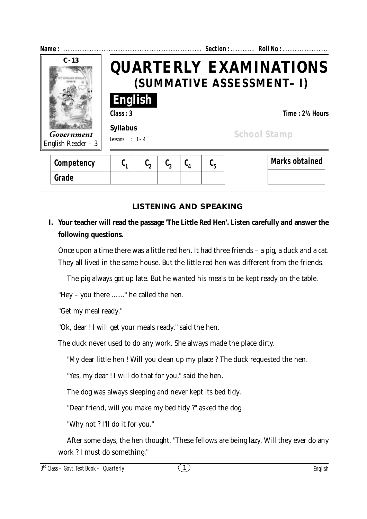| Name:                                         |                                    |                                                            |  |                 |                               |  | Section:  Roll No :   |  |
|-----------------------------------------------|------------------------------------|------------------------------------------------------------|--|-----------------|-------------------------------|--|-----------------------|--|
| $C - 13$<br>Government<br>English Reader $-3$ |                                    | <b>QUARTERLY EXAMINATIONS</b><br>(SUMMATIVE ASSESSMENT- I) |  |                 |                               |  |                       |  |
|                                               | English<br>Class: 3                |                                                            |  |                 |                               |  | Time: 2½ Hours        |  |
|                                               | <b>Syllabus</b><br>Lessons : $1-4$ |                                                            |  |                 |                               |  | <b>School Stamp</b>   |  |
| Competency                                    | C,                                 |                                                            |  | $\complement_4$ | $\mathfrak{c}_{\mathfrak{s}}$ |  | <b>Marks obtained</b> |  |

# **LISTENING AND SPEAKING**

# **I. Your teacher will read the passage 'The Little Red Hen'. Listen carefully and answer the following questions.**

Once upon a time there was a little red hen. It had three friends – a pig, a duck and a cat. They all lived in the same house. But the little red hen was different from the friends.

The pig always got up late. But he wanted his meals to be kept ready on the table.

"Hey – you there ......." he called the hen.

"Get my meal ready."

**Grade**

"Ok, dear ! I will get your meals ready." said the hen.

The duck never used to do any work. She always made the place dirty.

"My dear little hen ! Will you clean up my place ? The duck requested the hen.

"Yes, my dear ! I will do that for you," said the hen.

The dog was always sleeping and never kept its bed tidy.

"Dear friend, will you make my bed tidy ?" asked the dog.

"Why not ? I'll do it for you."

After some days, the hen thought, "These fellows are being lazy. Will they ever do any work ? I must do something."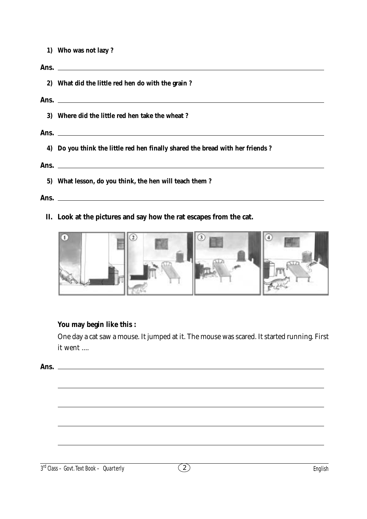**1) Who was not lazy ?**

# **Ans. 2) What did the little red hen do with the grain ? Ans. 3) Where did the little red hen take the wheat ? Ans. 4) Do you think the little red hen finally shared the bread with her friends ? Ans. 5) What lesson, do you think, the hen will teach them ?**

#### **Ans.**

**II. Look at the pictures and say how the rat escapes from the cat.**



## **You may begin like this :**

One day a cat saw a mouse. It jumped at it. The mouse was scared. It started running. First it went ....

**Ans.**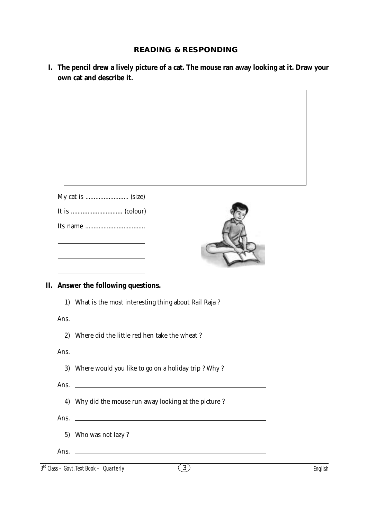# **READING & RESPONDING**

**I. The pencil drew a lively picture of a cat. The mouse ran away looking at it. Draw your own cat and describe it.**

|      | II. Answer the following questions.                                                                                   |  |
|------|-----------------------------------------------------------------------------------------------------------------------|--|
| 1)   | What is the most interesting thing about Rail Raja?                                                                   |  |
| Ans. |                                                                                                                       |  |
|      |                                                                                                                       |  |
| 2)   | Where did the little red hen take the wheat?                                                                          |  |
|      |                                                                                                                       |  |
| Ans. |                                                                                                                       |  |
|      | 3) Where would you like to go on a holiday trip? Why?                                                                 |  |
| Ans. | <u> 1989 - Johann Harry Harry Harry Harry Harry Harry Harry Harry Harry Harry Harry Harry Harry Harry Harry Harry</u> |  |
|      | 4) Why did the mouse run away looking at the picture?                                                                 |  |
|      |                                                                                                                       |  |
|      |                                                                                                                       |  |
|      | 5) Who was not lazy?                                                                                                  |  |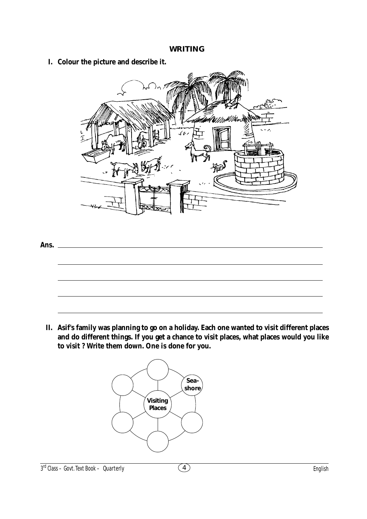#### **WRITING**

**I. Colour the picture and describe it.**



**Ans.**

**II. Asif's family was planning to go on a holiday. Each one wanted to visit different places and do different things. If you get a chance to visit places, what places would you like to visit ? Write them down. One is done for you.**

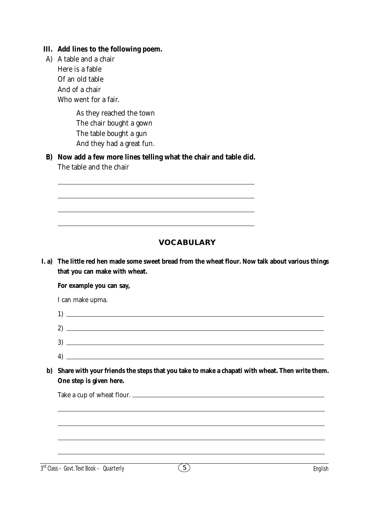#### **III. Add lines to the following poem.**

A) A table and a chair Here is a fable Of an old table And of a chair Who went for a fair.

> As they reached the town The chair bought a gown The table bought a gun And they had a great fun.

**B) Now add a few more lines telling what the chair and table did.** The table and the chair

 **VOCABULARY**

**I. a) The little red hen made some sweet bread from the wheat flour. Now talk about various things that you can make with wheat.**

**For example you can say,**

I can make upma.

| ົ<br>∼ |  |
|--------|--|

- 3) 4)
- **b) Share with your friends the steps that you take to make a chapati with wheat. Then write them. One step is given here.**

Take a cup of wheat flour.

 $3<sup>rd</sup> Class - Govt. Text Book - **Quarterly** 5 5$